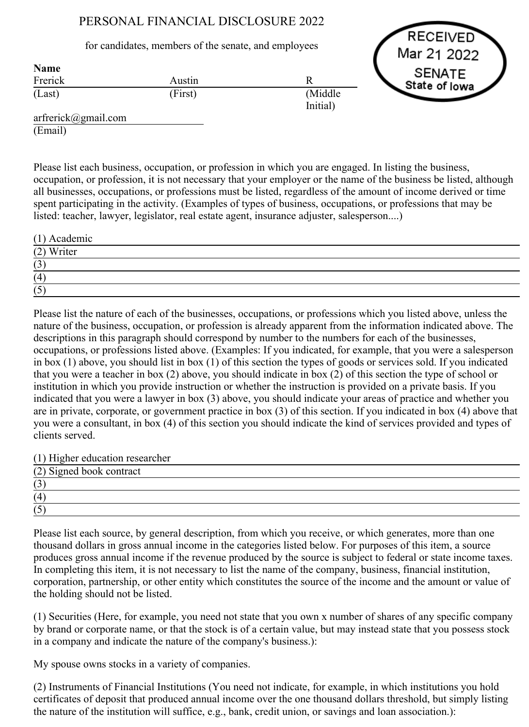## PERSONAL FINANCIAL DISCLOSURE 2022

## for candidates, members of the senate, and employees

**RECEIVED** Mar 21 2022 **SENATE** State of Iowa

| <b>Name</b><br>Frerick | Austin  |                      |
|------------------------|---------|----------------------|
| (Last)                 | (First) | (Middle)<br>Initial) |
| $\sim$ $\sim$          |         |                      |

arfrerick@gmail.com (Email)

Name

Please list each business, occupation, or profession in which you are engaged. In listing the business, occupation, or profession, it is not necessary that your employer or the name of the business be listed, although all businesses, occupations, or professions must be listed, regardless of the amount of income derived or time spent participating in the activity. (Examples of types of business, occupations, or professions that may be listed: teacher, lawyer, legislator, real estate agent, insurance adjuster, salesperson....)

| $(1)$ Academic |  |
|----------------|--|
| (2) Writer     |  |
| (3)            |  |
| (4)            |  |
| (5)            |  |

Please list the nature of each of the businesses, occupations, or professions which you listed above, unless the nature of the business, occupation, or profession is already apparent from the information indicated above. The descriptions in this paragraph should correspond by number to the numbers for each of the businesses, occupations, or professions listed above. (Examples: If you indicated, for example, that you were a salesperson in box (1) above, you should list in box (1) of this section the types of goods or services sold. If you indicated that you were a teacher in box (2) above, you should indicate in box (2) of this section the type of school or institution in which you provide instruction or whether the instruction is provided on a private basis. If you indicated that you were a lawyer in box (3) above, you should indicate your areas of practice and whether you are in private, corporate, or government practice in box (3) of this section. If you indicated in box (4) above that you were a consultant, in box (4) of this section you should indicate the kind of services provided and types of clients served.

(1) Higher education researcher

| (2) Signed book contract |  |  |
|--------------------------|--|--|
| ت                        |  |  |
| (4)                      |  |  |
| $\overline{\phantom{0}}$ |  |  |

Please list each source, by general description, from which you receive, or which generates, more than one thousand dollars in gross annual income in the categories listed below. For purposes of this item, a source produces gross annual income if the revenue produced by the source is subject to federal or state income taxes. In completing this item, it is not necessary to list the name of the company, business, financial institution, corporation, partnership, or other entity which constitutes the source of the income and the amount or value of the holding should not be listed.

(1) Securities (Here, for example, you need not state that you own x number of shares of any specific company by brand or corporate name, or that the stock is of a certain value, but may instead state that you possess stock in a company and indicate the nature of the company's business.):

My spouse owns stocks in a variety of companies.

(2) Instruments of Financial Institutions (You need not indicate, for example, in which institutions you hold certificates of deposit that produced annual income over the one thousand dollars threshold, but simply listing the nature of the institution will suffice, e.g., bank, credit union, or savings and loan association.):